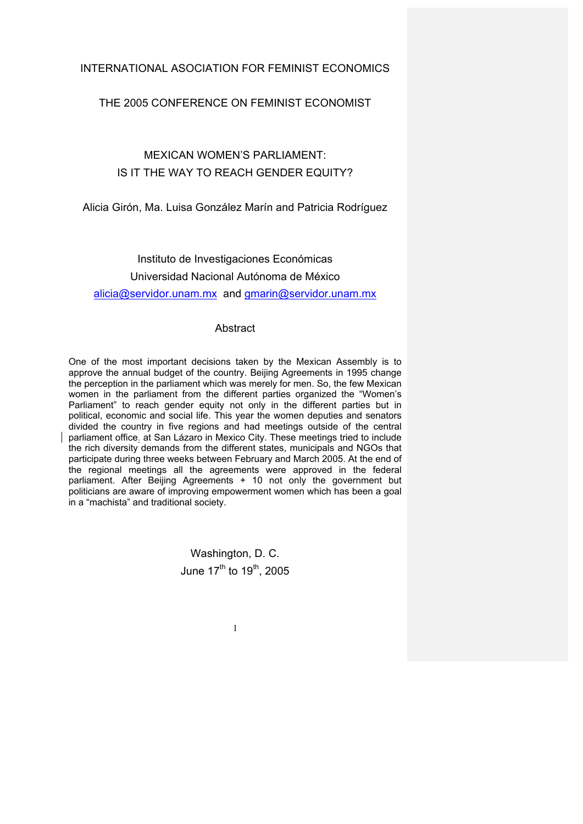# INTERNATIONAL ASOCIATION FOR FEMINIST ECONOMICS

## THE 2005 CONFERENCE ON FEMINIST ECONOMIST

# MEXICAN WOMEN'S PARLIAMENT: IS IT THE WAY TO REACH GENDER EQUITY?

Alicia Girón, Ma. Luisa González Marín and Patricia Rodríguez

Instituto de Investigaciones Económicas Universidad Nacional Autónoma de México alicia@servidor.unam.mx and gmarin@servidor.unam.mx

## **Abstract**

One of the most important decisions taken by the Mexican Assembly is to approve the annual budget of the country. Beijing Agreements in 1995 change the perception in the parliament which was merely for men. So, the few Mexican women in the parliament from the different parties organized the "Women's Parliament" to reach gender equity not only in the different parties but in political, economic and social life. This year the women deputies and senators divided the country in five regions and had meetings outside of the central parliament office. at San Lázaro in Mexico City. These meetings tried to include the rich diversity demands from the different states, municipals and NGOs that participate during three weeks between February and March 2005. At the end of the regional meetings all the agreements were approved in the federal parliament. After Beijing Agreements + 10 not only the government but politicians are aware of improving empowerment women which has been a goal in a "machista" and traditional society.

> Washington, D. C. June  $17^{th}$  to  $19^{th}$ , 2005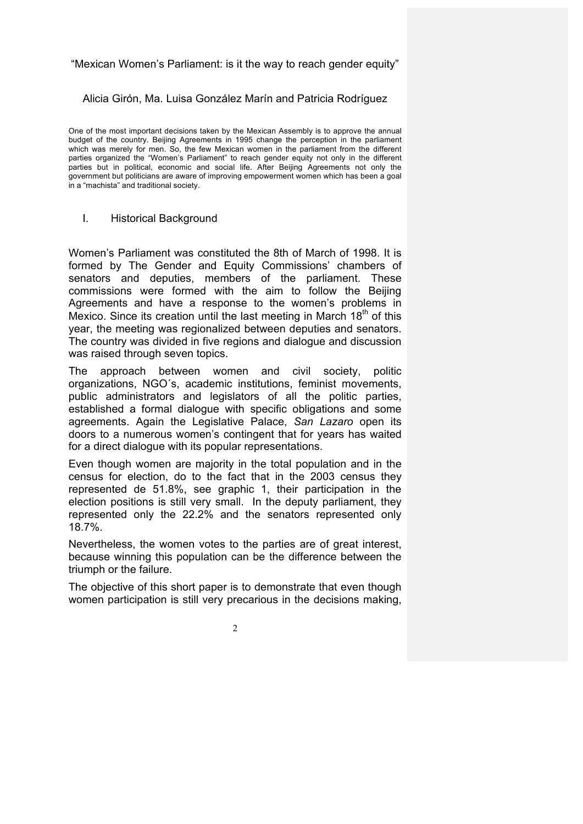"Mexican Women's Parliament: is it the way to reach gender equity"

Alicia Girón, Ma. Luisa González Marín and Patricia Rodríguez

One of the most important decisions taken by the Mexican Assembly is to approve the annual budget of the country. Beijing Agreements in 1995 change the perception in the parliament which was merely for men. So, the few Mexican women in the parliament from the different parties organized the "Women's Parliament" to reach gender equity not only in the different parties but in political, economic and social life. After Beijing Agreements not only the government but politicians are aware of improving empowerment women which has been a goal in a "machista" and traditional society.

I. Historical Background

Women's Parliament was constituted the 8th of March of 1998. It is formed by The Gender and Equity Commissions' chambers of senators and deputies, members of the parliament. These commissions were formed with the aim to follow the Beijing Agreements and have a response to the women's problems in Mexico. Since its creation until the last meeting in March  $18<sup>th</sup>$  of this year, the meeting was regionalized between deputies and senators. The country was divided in five regions and dialogue and discussion was raised through seven topics.

The approach between women and civil society, politic organizations, NGO´s, academic institutions, feminist movements, public administrators and legislators of all the politic parties, established a formal dialogue with specific obligations and some agreements. Again the Legislative Palace, *San Lazaro* open its doors to a numerous women's contingent that for years has waited for a direct dialogue with its popular representations.

Even though women are majority in the total population and in the census for election, do to the fact that in the 2003 census they represented de 51.8%, see graphic 1, their participation in the election positions is still very small. In the deputy parliament, they represented only the 22.2% and the senators represented only 18.7%.

Nevertheless, the women votes to the parties are of great interest, because winning this population can be the difference between the triumph or the failure.

The objective of this short paper is to demonstrate that even though women participation is still very precarious in the decisions making,

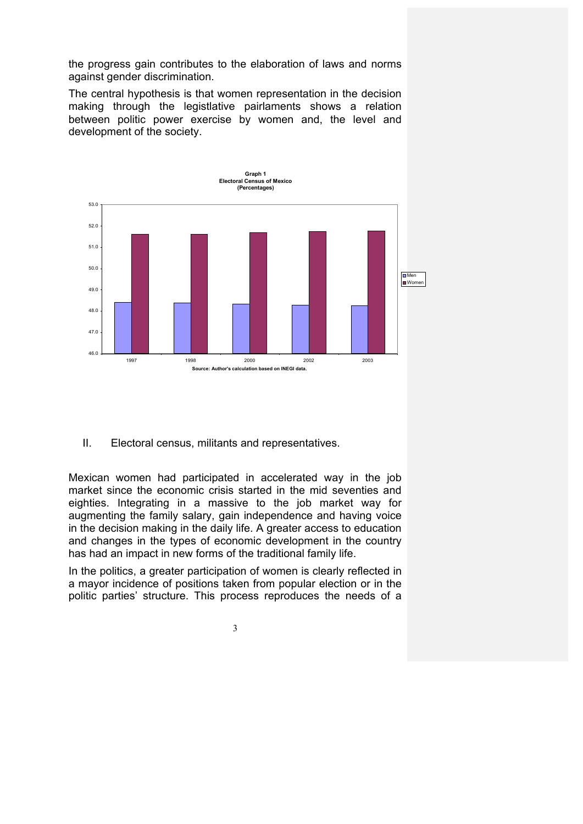the progress gain contributes to the elaboration of laws and norms against gender discrimination.

The central hypothesis is that women representation in the decision making through the legistlative pairlaments shows a relation between politic power exercise by women and, the level and development of the society.



II. Electoral census, militants and representatives.

Mexican women had participated in accelerated way in the job market since the economic crisis started in the mid seventies and eighties. Integrating in a massive to the job market way for augmenting the family salary, gain independence and having voice in the decision making in the daily life. A greater access to education and changes in the types of economic development in the country has had an impact in new forms of the traditional family life.

In the politics, a greater participation of women is clearly reflected in a mayor incidence of positions taken from popular election or in the politic parties' structure. This process reproduces the needs of a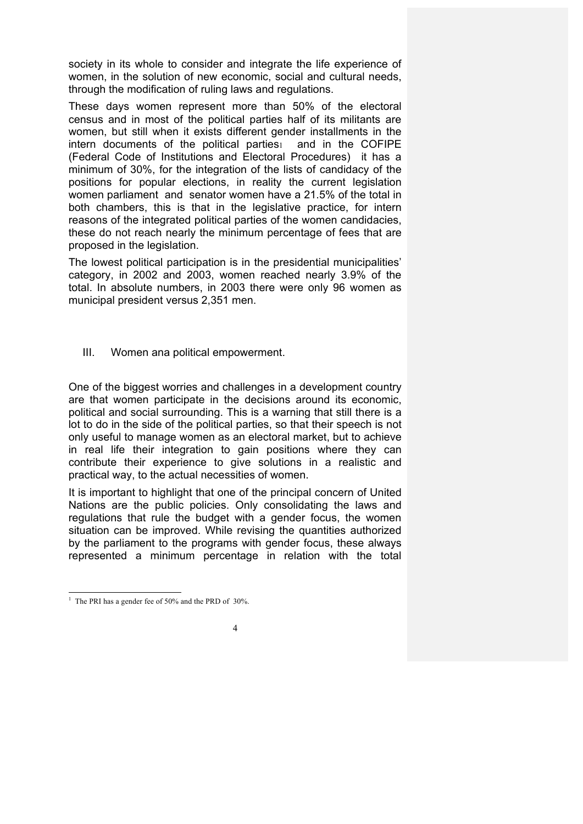society in its whole to consider and integrate the life experience of women, in the solution of new economic, social and cultural needs, through the modification of ruling laws and regulations.

These days women represent more than 50% of the electoral census and in most of the political parties half of its militants are women, but still when it exists different gender installments in the intern documents of the political parties<sub>1</sub> and in the COFIPE (Federal Code of Institutions and Electoral Procedures) it has a minimum of 30%, for the integration of the lists of candidacy of the positions for popular elections, in reality the current legislation women parliament and senator women have a 21.5% of the total in both chambers, this is that in the legislative practice, for intern reasons of the integrated political parties of the women candidacies, these do not reach nearly the minimum percentage of fees that are proposed in the legislation.

The lowest political participation is in the presidential municipalities' category, in 2002 and 2003, women reached nearly 3.9% of the total. In absolute numbers, in 2003 there were only 96 women as municipal president versus 2,351 men.

III. Women ana political empowerment.

One of the biggest worries and challenges in a development country are that women participate in the decisions around its economic, political and social surrounding. This is a warning that still there is a lot to do in the side of the political parties, so that their speech is not only useful to manage women as an electoral market, but to achieve in real life their integration to gain positions where they can contribute their experience to give solutions in a realistic and practical way, to the actual necessities of women.

It is important to highlight that one of the principal concern of United Nations are the public policies. Only consolidating the laws and regulations that rule the budget with a gender focus, the women situation can be improved. While revising the quantities authorized by the parliament to the programs with gender focus, these always represented a minimum percentage in relation with the total

 $\frac{1}{1}$  $1$  The PRI has a gender fee of 50% and the PRD of 30%.

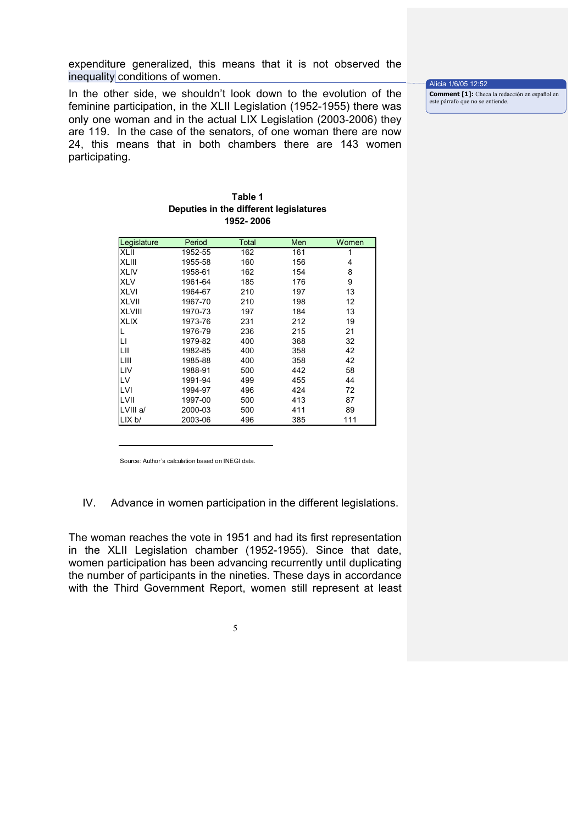expenditure generalized, this means that it is not observed the inequality conditions of women.

In the other side, we shouldn't look down to the evolution of the feminine participation, in the XLII Legislation (1952-1955) there was only one woman and in the actual LIX Legislation (2003-2006) they are 119. In the case of the senators, of one woman there are now 24, this means that in both chambers there are 143 women participating.

Alicia 1/6/05 12:52 **Comment [1]:** Checa la redacción en español en este párrafo que no se entiende.

#### **Table 1 Deputies in the different legislatures 1952- 2006**

| Legislature   | Period  | Total | Men | Women |
|---------------|---------|-------|-----|-------|
| <b>XLII</b>   | 1952-55 | 162   | 161 |       |
| <b>XLIII</b>  | 1955-58 | 160   | 156 | 4     |
| <b>XLIV</b>   | 1958-61 | 162   | 154 | 8     |
| <b>XLV</b>    | 1961-64 | 185   | 176 | 9     |
| <b>XLVI</b>   | 1964-67 | 210   | 197 | 13    |
| <b>XLVII</b>  | 1967-70 | 210   | 198 | 12    |
| <b>XLVIII</b> | 1970-73 | 197   | 184 | 13    |
| <b>XLIX</b>   | 1973-76 | 231   | 212 | 19    |
|               | 1976-79 | 236   | 215 | 21    |
| LI            | 1979-82 | 400   | 368 | 32    |
| LII           | 1982-85 | 400   | 358 | 42    |
| LIII          | 1985-88 | 400   | 358 | 42    |
| LIV           | 1988-91 | 500   | 442 | 58    |
| LV            | 1991-94 | 499   | 455 | 44    |
| LVI           | 1994-97 | 496   | 424 | 72    |
| LVII          | 1997-00 | 500   | 413 | 87    |
| LVIII a/      | 2000-03 | 500   | 411 | 89    |
| LIX b/        | 2003-06 | 496   | 385 | 111   |

Source: Author´s calculation based on INEGI data.

IV. Advance in women participation in the different legislations.

The woman reaches the vote in 1951 and had its first representation in the XLII Legislation chamber (1952-1955). Since that date, women participation has been advancing recurrently until duplicating the number of participants in the nineties. These days in accordance with the Third Government Report, women still represent at least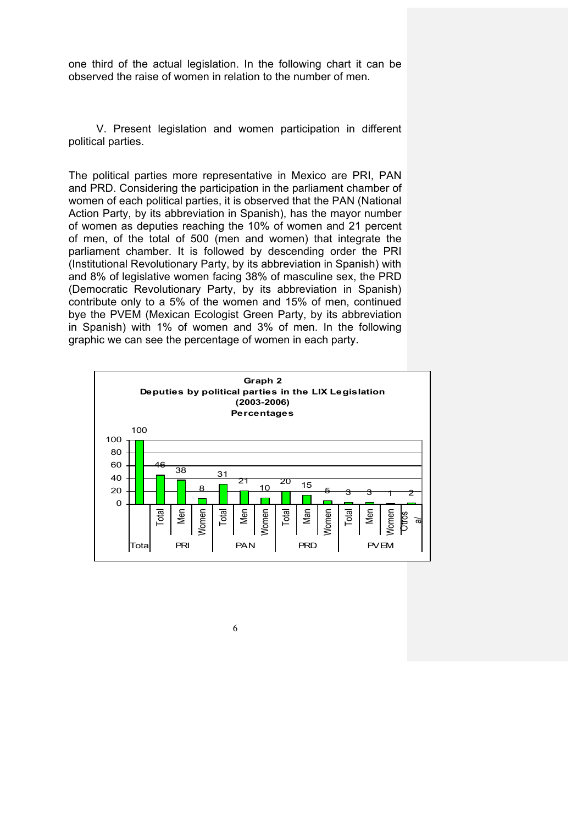one third of the actual legislation. In the following chart it can be observed the raise of women in relation to the number of men.

V. Present legislation and women participation in different political parties.

The political parties more representative in Mexico are PRI, PAN and PRD. Considering the participation in the parliament chamber of women of each political parties, it is observed that the PAN (National Action Party, by its abbreviation in Spanish), has the mayor number of women as deputies reaching the 10% of women and 21 percent of men, of the total of 500 (men and women) that integrate the parliament chamber. It is followed by descending order the PRI (Institutional Revolutionary Party, by its abbreviation in Spanish) with and 8% of legislative women facing 38% of masculine sex, the PRD (Democratic Revolutionary Party, by its abbreviation in Spanish) contribute only to a 5% of the women and 15% of men, continued bye the PVEM (Mexican Ecologist Green Party, by its abbreviation in Spanish) with 1% of women and 3% of men. In the following graphic we can see the percentage of women in each party.

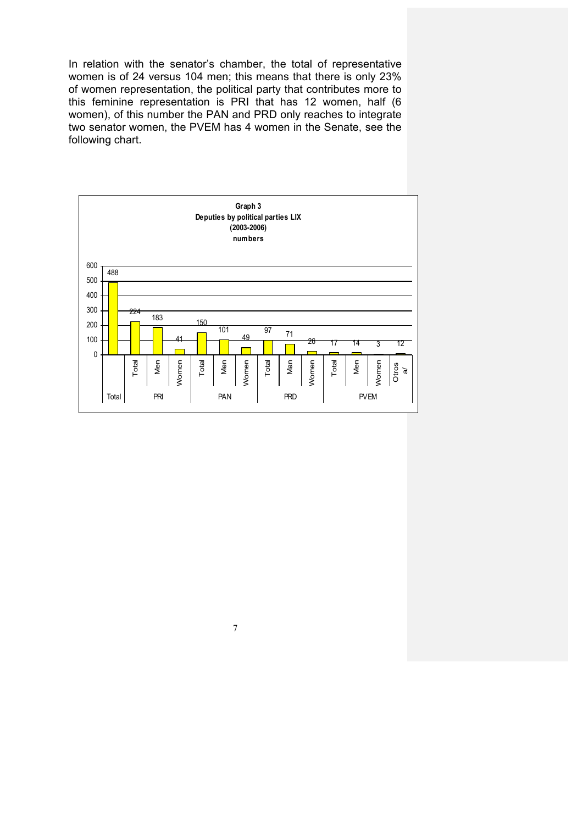In relation with the senator's chamber, the total of representative women is of 24 versus 104 men; this means that there is only 23% of women representation, the political party that contributes more to this feminine representation is PRI that has 12 women, half (6 women), of this number the PAN and PRD only reaches to integrate two senator women, the PVEM has 4 women in the Senate, see the following chart.

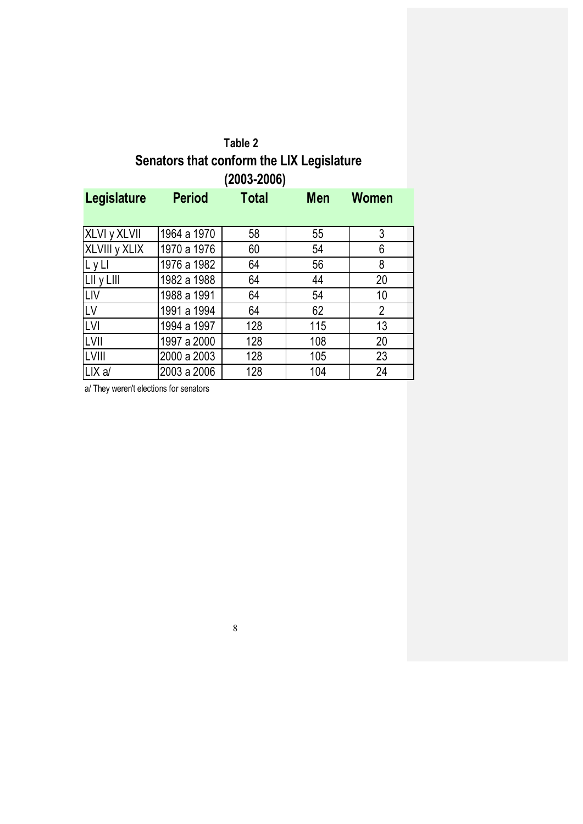| Table 2                                   |  |
|-------------------------------------------|--|
| Senators that conform the LIX Legislature |  |
| $(2003 - 2006)$                           |  |

| Legislature   | <b>Period</b> | <b>Total</b> | <b>Men</b> | <b>Women</b>   |
|---------------|---------------|--------------|------------|----------------|
|               |               |              |            |                |
| XLVI y XLVII  | 1964 a 1970   | 58           | 55         | 3              |
| XLVIII y XLIX | 1970 a 1976   | 60           | 54         | 6              |
| LyLI          | 1976 a 1982   | 64           | 56         | 8              |
| LII y LIII    | 1982 a 1988   | 64           | 44         | 20             |
| <b>LIV</b>    | 1988 a 1991   | 64           | 54         | 10             |
| LV            | 1991 a 1994   | 64           | 62         | $\overline{2}$ |
| <b>LVI</b>    | 1994 a 1997   | 128          | 115        | 13             |
| LVII          | 1997 a 2000   | 128          | 108        | 20             |
| LVIII         | 2000 a 2003   | 128          | 105        | 23             |
| LIX a/        | 2003 a 2006   | 128          | 104        | 24             |

a/ They weren't elections for senators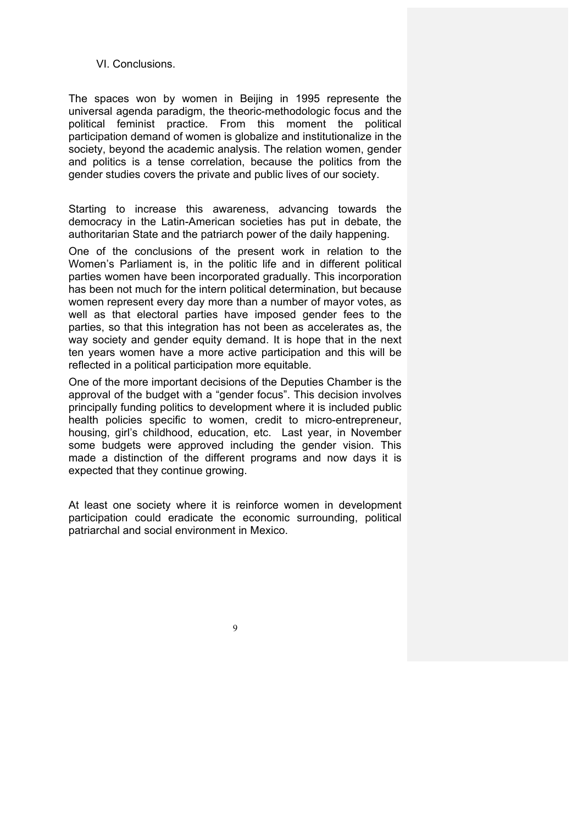#### VI. Conclusions.

The spaces won by women in Beijing in 1995 represente the universal agenda paradigm, the theoric-methodologic focus and the political feminist practice. From this moment the political participation demand of women is globalize and institutionalize in the society, beyond the academic analysis. The relation women, gender and politics is a tense correlation, because the politics from the gender studies covers the private and public lives of our society.

Starting to increase this awareness, advancing towards the democracy in the Latin-American societies has put in debate, the authoritarian State and the patriarch power of the daily happening.

One of the conclusions of the present work in relation to the Women's Parliament is, in the politic life and in different political parties women have been incorporated gradually. This incorporation has been not much for the intern political determination, but because women represent every day more than a number of mayor votes, as well as that electoral parties have imposed gender fees to the parties, so that this integration has not been as accelerates as, the way society and gender equity demand. It is hope that in the next ten years women have a more active participation and this will be reflected in a political participation more equitable.

One of the more important decisions of the Deputies Chamber is the approval of the budget with a "gender focus". This decision involves principally funding politics to development where it is included public health policies specific to women, credit to micro-entrepreneur, housing, girl's childhood, education, etc. Last year, in November some budgets were approved including the gender vision. This made a distinction of the different programs and now days it is expected that they continue growing.

At least one society where it is reinforce women in development participation could eradicate the economic surrounding, political patriarchal and social environment in Mexico.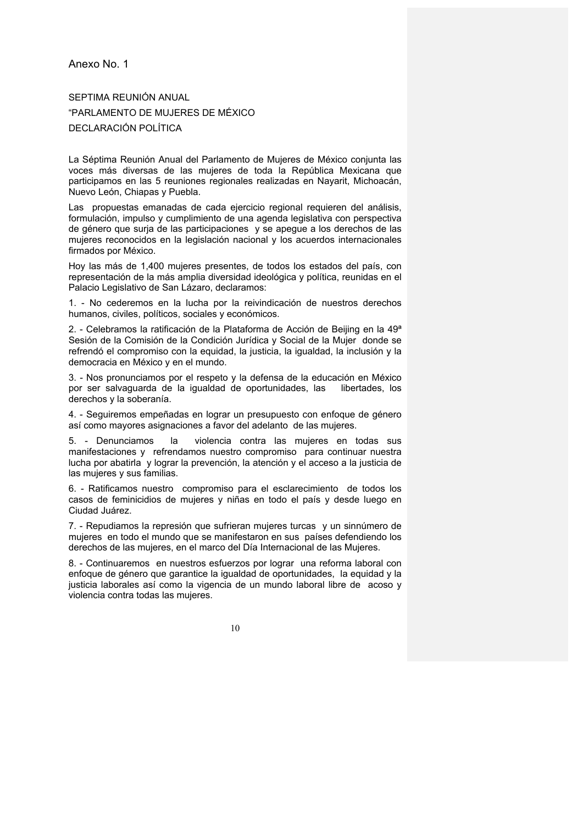#### Anexo No. 1

SEPTIMA REUNIÓN ANUAL "PARLAMENTO DE MUJERES DE MÉXICO DECLARACIÓN POLÍTICA

La Séptima Reunión Anual del Parlamento de Mujeres de México conjunta las voces más diversas de las mujeres de toda la República Mexicana que participamos en las 5 reuniones regionales realizadas en Nayarit, Michoacán, Nuevo León, Chiapas y Puebla.

Las propuestas emanadas de cada ejercicio regional requieren del análisis, formulación, impulso y cumplimiento de una agenda legislativa con perspectiva de género que surja de las participaciones y se apegue a los derechos de las mujeres reconocidos en la legislación nacional y los acuerdos internacionales firmados por México.

Hoy las más de 1,400 mujeres presentes, de todos los estados del país, con representación de la más amplia diversidad ideológica y política, reunidas en el Palacio Legislativo de San Lázaro, declaramos:

1. - No cederemos en la lucha por la reivindicación de nuestros derechos humanos, civiles, políticos, sociales y económicos.

2. - Celebramos la ratificación de la Plataforma de Acción de Beijing en la 49ª Sesión de la Comisión de la Condición Jurídica y Social de la Mujer donde se refrendó el compromiso con la equidad, la justicia, la igualdad, la inclusión y la democracia en México y en el mundo.

3. - Nos pronunciamos por el respeto y la defensa de la educación en México por ser salvaguarda de la igualdad de oportunidades, las libertades, los derechos y la soberanía.

4. - Seguiremos empeñadas en lograr un presupuesto con enfoque de género así como mayores asignaciones a favor del adelanto de las mujeres.

5. - Denunciamos la violencia contra las mujeres en todas sus manifestaciones y refrendamos nuestro compromiso para continuar nuestra lucha por abatirla y lograr la prevención, la atención y el acceso a la justicia de las mujeres y sus familias.

6. - Ratificamos nuestro compromiso para el esclarecimiento de todos los casos de feminicidios de mujeres y niñas en todo el país y desde luego en Ciudad Juárez.

7. - Repudiamos la represión que sufrieran mujeres turcas y un sinnúmero de mujeres en todo el mundo que se manifestaron en sus países defendiendo los derechos de las mujeres, en el marco del Día Internacional de las Mujeres.

8. - Continuaremos en nuestros esfuerzos por lograr una reforma laboral con enfoque de género que garantice la igualdad de oportunidades, la equidad y la justicia laborales así como la vigencia de un mundo laboral libre de acoso y violencia contra todas las mujeres.